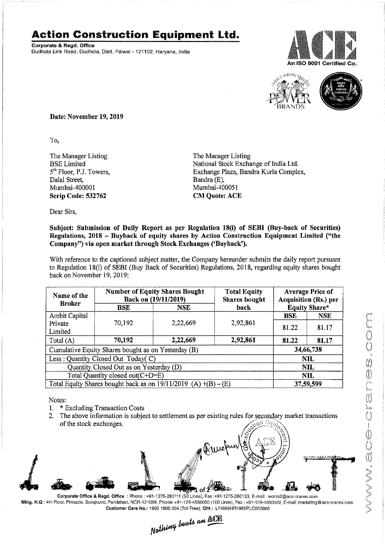## **Action Construction Equipment** ltd.

Corporate & Regd. Office Dudhola Link Road, Dudhola, Distt. Palwal - 121102, Haryana, India





Date: November 19, 2019

To,

The Manager Listing BSE Limited 5<sup>th</sup> Floor, P.J. Towers, Dalal Street, Mumbai-400001 Scrip Code: 532762

The Manager Listing National Stock Exchange of India Ltd. Exchange Plaza, Bandra Kurla Complex, Bandra (E), Mumbai-400051 CM Quote: ACE

Dear Sirs,

## Subject: Submission of Daily Report as per Regulation 18(i) of SEBI (Buy-back of Securities) Regulations, 2018 - Buyback of equity shares by Action Construction Equipment Limited ("the Company") via open market through Stock Exchanges ('Buyback').

With reference to the captioned subject matter, the Company hereunder submits the daily report pursuant to Regulation 18(i) of SEBI (Buy Back of Securities) Regulations, 2018, regarding equity shares bought back on November 19, 2019:

| Name of the<br><b>Broker</b>                                      | <b>Number of Equity Shares Bought</b><br>Back on (19/11/2019) |            | <b>Total Equity</b><br><b>Shares bought</b> | <b>Average Price of</b><br><b>Acquisition (Rs.) per</b> |            |  |
|-------------------------------------------------------------------|---------------------------------------------------------------|------------|---------------------------------------------|---------------------------------------------------------|------------|--|
|                                                                   | BSE                                                           | <b>NSE</b> | back                                        | <b>Equity Share*</b>                                    |            |  |
| Ambit Capital                                                     |                                                               |            |                                             | <b>BSE</b>                                              | <b>NSE</b> |  |
| Private<br>Limited                                                | 70,192                                                        | 2,22,669   | 2,92,861                                    | 81.22                                                   | 81.17      |  |
| Total (A)                                                         | 70,192                                                        | 2,22,669   | 2,92,861                                    | 81.22                                                   | 81.17      |  |
| Cumulative Equity Shares bought as on Yesterday (B)               |                                                               |            |                                             |                                                         | 34,66,738  |  |
| Less: Quantity Closed Out Today(C)                                |                                                               |            |                                             | <b>NIL</b>                                              |            |  |
| Quantity Closed Out as on Yesterday (D)                           |                                                               |            |                                             | <b>NIL</b>                                              |            |  |
| Total Quantity closed out(C+D=E)                                  |                                                               |            |                                             | NIL                                                     |            |  |
| Total Equity Shares bought back as on $19/11/2019$ (A) +(B) – (E) |                                                               |            |                                             | 37,59,599                                               |            |  |

Notes:

- 1. \* Excluding Transaction Costs
- 2. The above information is subject to settlement as per existing rules for secondary market transactions of the stock exchanges.  $\cap \Omega$



Corporate Office & Regd. Office: Phone: +91-1275-280111*(50* Lines), Fax:+91-1275-280133, E-mail: works2@ace-cranes.com Mktg. H.Q.: 4th Floor, Pinnacle, Surajkund, Faridabad, NCR-121009, Phone: +91-129-4550000 (100 Lines), Fax: +91-129-4550022. E-mail: marketing@ace-cranes.com Customer Care No.: 1800 1800 004 (Toll Free), CIN: L74899HR1995PlC053860

 $\mu$ eats an  $\frac{\text{MSE}}{\text{MSE}}$ *N~.lJR-'W'" --*